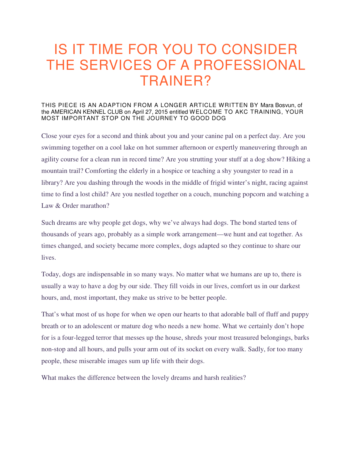## IS IT TIME FOR YOU TO CONSIDER THE SERVICES OF A PROFESSIONAL TRAINER?

## THIS PIECE IS AN ADAPTION FROM A LONGER ARTICLE WRITTEN BY Mara Bosvun, of the AMERICAN KENNEL CLUB on April 27, 2015 entitled WELCOME TO AKC TRAINING, YOUR MOST IMPORTANT STOP ON THE JOURNEY TO GOOD DOG

Close your eyes for a second and think about you and your canine pal on a perfect day. Are you swimming together on a cool lake on hot summer afternoon or expertly maneuvering through an agility course for a clean run in record time? Are you strutting your stuff at a dog show? Hiking a mountain trail? Comforting the elderly in a hospice or teaching a shy youngster to read in a library? Are you dashing through the woods in the middle of frigid winter's night, racing against time to find a lost child? Are you nestled together on a couch, munching popcorn and watching a Law & Order marathon?

Such dreams are why people get dogs, why we've always had dogs. The bond started tens of thousands of years ago, probably as a simple work arrangement—we hunt and eat together. As times changed, and society became more complex, dogs adapted so they continue to share our lives.

Today, dogs are indispensable in so many ways. No matter what we humans are up to, there is usually a way to have a dog by our side. They fill voids in our lives, comfort us in our darkest hours, and, most important, they make us strive to be better people.

That's what most of us hope for when we open our hearts to that adorable ball of fluff and puppy breath or to an adolescent or mature dog who needs a new home. What we certainly don't hope for is a four-legged terror that messes up the house, shreds your most treasured belongings, barks non-stop and all hours, and pulls your arm out of its socket on every walk. Sadly, for too many people, these miserable images sum up life with their dogs.

What makes the difference between the lovely dreams and harsh realities?